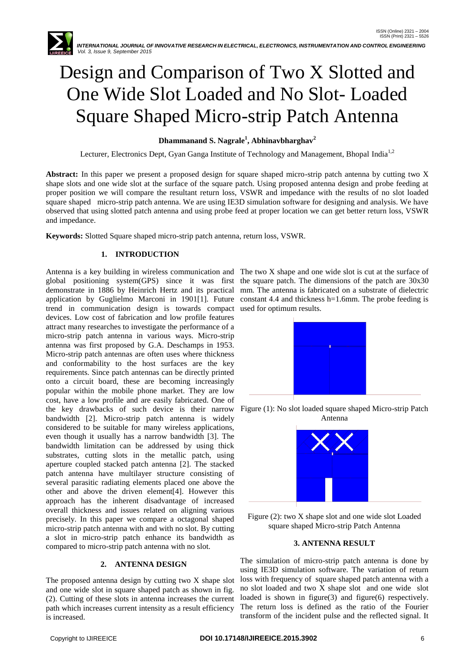

# Design and Comparison of Two X Slotted and One Wide Slot Loaded and No Slot- Loaded Square Shaped Micro-strip Patch Antenna

## **Dhammanand S. Nagrale<sup>1</sup> , Abhinavbharghav<sup>2</sup>**

Lecturer, Electronics Dept, Gyan Ganga Institute of Technology and Management, Bhopal India<sup>1,2</sup>

**Abstract:** In this paper we present a proposed design for square shaped micro-strip patch antenna by cutting two X shape slots and one wide slot at the surface of the square patch. Using proposed antenna design and probe feeding at proper position we will compare the resultant return loss, VSWR and impedance with the results of no slot loaded square shaped micro-strip patch antenna. We are using IE3D simulation software for designing and analysis. We have observed that using slotted patch antenna and using probe feed at proper location we can get better return loss, VSWR and impedance.

**Keywords:** Slotted Square shaped micro-strip patch antenna, return loss, VSWR.

## **1. INTRODUCTION**

Antenna is a key building in wireless communication and The two X shape and one wide slot is cut at the surface of global positioning system(GPS) since it was first the square patch. The dimensions of the patch are 30x30 demonstrate in 1886 by Heinrich Hertz and its practical mm. The antenna is fabricated on a substrate of dielectric application by Guglielmo Marconi in 1901[1]. Future constant 4.4 and thickness h=1.6mm. The probe feeding is trend in communication design is towards compact used for optimum results. devices. Low cost of fabrication and low profile features attract many researches to investigate the performance of a micro-strip patch antenna in various ways. Micro-strip antenna was first proposed by G.A. Deschamps in 1953. Micro-strip patch antennas are often uses where thickness and conformability to the host surfaces are the key requirements. Since patch antennas can be directly printed onto a circuit board, these are becoming increasingly popular within the mobile phone market. They are low cost, have a low profile and are easily fabricated. One of the key drawbacks of such device is their narrow bandwidth [2]. Micro-strip patch antenna is widely considered to be suitable for many wireless applications, even though it usually has a narrow bandwidth [3]. The bandwidth limitation can be addressed by using thick substrates, cutting slots in the metallic patch, using aperture coupled stacked patch antenna [2]. The stacked patch antenna have multilayer structure consisting of several parasitic radiating elements placed one above the other and above the driven element[4]. However this approach has the inherent disadvantage of increased overall thickness and issues related on aligning various precisely. In this paper we compare a octagonal shaped micro-strip patch antenna with and with no slot. By cutting a slot in micro-strip patch enhance its bandwidth as compared to micro-strip patch antenna with no slot.

## **2. ANTENNA DESIGN**

The proposed antenna design by cutting two X shape slot and one wide slot in square shaped patch as shown in fig. (2). Cutting of these slots in antenna increases the current path which increases current intensity as a result efficiency is increased.



Figure (1): No slot loaded square shaped Micro-strip Patch Antenna



Figure (2): two X shape slot and one wide slot Loaded square shaped Micro-strip Patch Antenna

#### **3. ANTENNA RESULT**

The simulation of micro-strip patch antenna is done by using IE3D simulation software. The variation of return loss with frequency of square shaped patch antenna with a no slot loaded and two X shape slot and one wide slot loaded is shown in figure(3) and figure(6) respectively. The return loss is defined as the ratio of the Fourier transform of the incident pulse and the reflected signal. It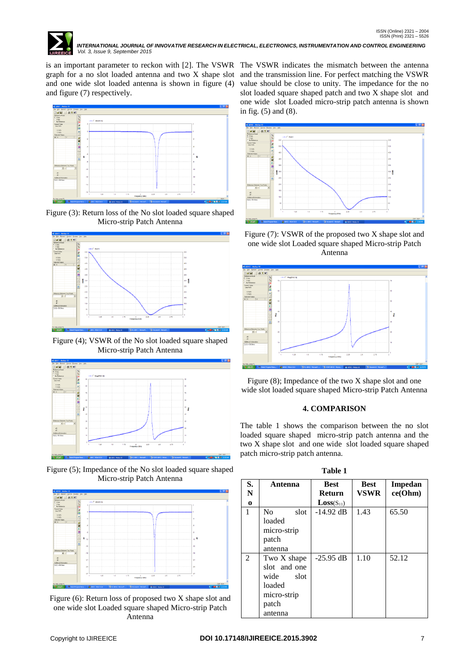

 *INTERNATIONAL JOURNAL OF INNOVATIVE RESEARCH IN ELECTRICAL, ELECTRONICS, INSTRUMENTATION AND CONTROL ENGINEERING Vol. 3, Issue 9, September 2015*

is an important parameter to reckon with [2]. The VSWR The VSWR indicates the mismatch between the antenna graph for a no slot loaded antenna and two X shape slot and the transmission line. For perfect matching the VSWR and one wide slot loaded antenna is shown in figure (4) and figure (7) respectively.



Figure (3): Return loss of the No slot loaded square shaped Micro-strip Patch Antenna



Figure (4); VSWR of the No slot loaded square shaped Micro-strip Patch Antenna



Figure (5); Impedance of the No slot loaded square shaped Micro-strip Patch Antenna



Figure (6): Return loss of proposed two X shape slot and one wide slot Loaded square shaped Micro-strip Patch Antenna

value should be close to unity. The impedance for the no slot loaded square shaped patch and two X shape slot and one wide slot Loaded micro-strip patch antenna is shown in fig. (5) and (8).



Figure (7): VSWR of the proposed two X shape slot and one wide slot Loaded square shaped Micro-strip Patch Antenna



Figure (8); Impedance of the two X shape slot and one wide slot loaded square shaped Micro-strip Patch Antenna

#### **4. COMPARISON**

The table 1 shows the comparison between the no slot loaded square shaped micro-strip patch antenna and the two X shape slot and one wide slot loaded square shaped patch micro-strip patch antenna.

| H<br>H |
|--------|
|--------|

| S.<br>N<br>$\bf{o}$ | Antenna                                                                                  | <b>Best</b><br><b>Return</b><br>$Loss(S_{11})$ | <b>Best</b><br><b>VSWR</b> | <b>Impedan</b><br>ce(Ohm) |
|---------------------|------------------------------------------------------------------------------------------|------------------------------------------------|----------------------------|---------------------------|
| 1                   | N <sub>0</sub><br>slot<br>loaded<br>micro-strip<br>patch<br>antenna                      | $-14.92$ dB                                    | 1.43                       | 65.50                     |
| 2                   | Two X shape<br>slot and one<br>wide<br>slot<br>loaded<br>micro-strip<br>patch<br>antenna | $-25.95$ dB                                    | 1.10                       | 52.12                     |